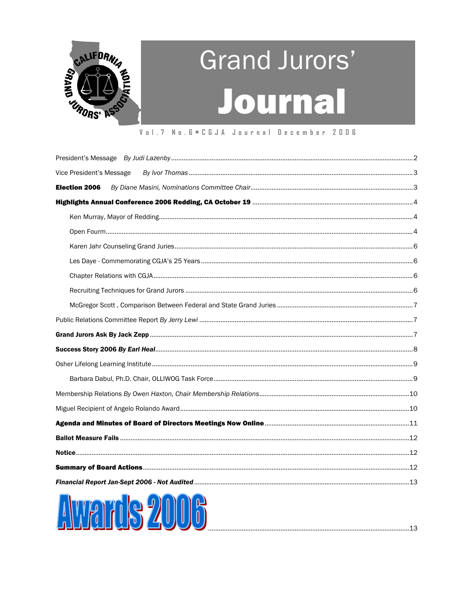

# Grand Jurors' Journal

#### Vol. 7 No. 6 . C G J A Journal December 2006

| <b>Election 2006</b>     |  |
|--------------------------|--|
| Vice President's Message |  |
|                          |  |

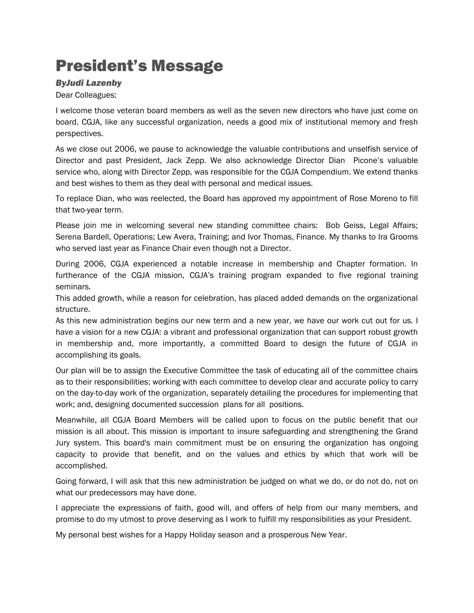# <span id="page-1-0"></span>President's Message

#### *ByJudi Lazenby*

#### Dear Colleagues:

I welcome those veteran board members as well as the seven new directors who have just come on board. CGJA, like any successful organization, needs a good mix of institutional memory and fresh perspectives.

As we close out 2006, we pause to acknowledge the valuable contributions and unselfish service of Director and past President, Jack Zepp. We also acknowledge Director Dian Picone's valuable service who, along with Director Zepp, was responsible for the CGJA Compendium. We extend thanks and best wishes to them as they deal with personal and medical issues.

To replace Dian, who was reelected, the Board has approved my appointment of Rose Moreno to fill that two-year term.

Please join me in welcoming several new standing committee chairs: Bob Geiss, Legal Affairs; Serena Bardell, Operations; Lew Avera, Training; and Ivor Thomas, Finance. My thanks to Ira Grooms who served last year as Finance Chair even though not a Director.

During 2006, CGJA experienced a notable increase in membership and Chapter formation. In furtherance of the CGJA mission, CGJA's training program expanded to five regional training seminars.

This added growth, while a reason for celebration, has placed added demands on the organizational structure.

As this new administration begins our new term and a new year, we have our work cut out for us. I have a vision for a new CGJA: a vibrant and professional organization that can support robust growth in membership and, more importantly, a committed Board to design the future of CGJA in accomplishing its goals.

Our plan will be to assign the Executive Committee the task of educating all of the committee chairs as to their responsibilities; working with each committee to develop clear and accurate policy to carry on the day-to-day work of the organization, separately detailing the procedures for implementing that work; and, designing documented succession plans for all positions.

Meanwhile, all CGJA Board Members will be called upon to focus on the public benefit that our mission is all about. This mission is important to insure safeguarding and strengthening the Grand Jury system. This board's main commitment must be on ensuring the organization has ongoing capacity to provide that benefit, and on the values and ethics by which that work will be accomplished.

Going forward, I will ask that this new administration be judged on what we do, or do not do, not on what our predecessors may have done.

I appreciate the expressions of faith, good will, and offers of help from our many members, and promise to do my utmost to prove deserving as I work to fulfill my responsibilities as your President.

My personal best wishes for a Happy Holiday season and a prosperous New Year.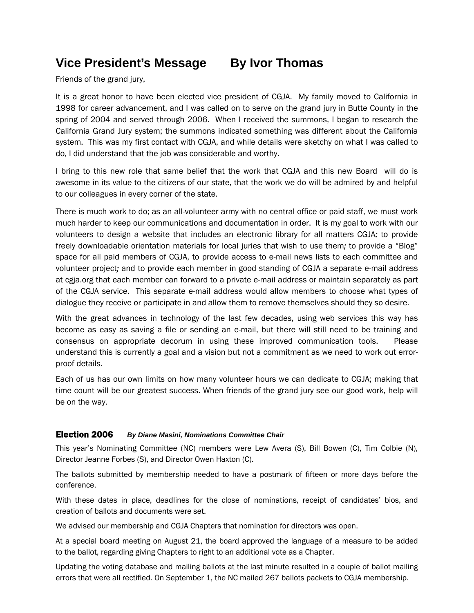# <span id="page-2-0"></span>**Vice President's Message By Ivor Thomas**

Friends of the grand jury,

It is a great honor to have been elected vice president of CGJA. My family moved to California in 1998 for career advancement, and I was called on to serve on the grand jury in Butte County in the spring of 2004 and served through 2006. When I received the summons, I began to research the California Grand Jury system; the summons indicated something was different about the California system. This was my first contact with CGJA, and while details were sketchy on what I was called to do, I did understand that the job was considerable and worthy.

I bring to this new role that same belief that the work that CGJA andthis new Board will do is awesome in its value to the citizens of our state, that the work we do will be admired byand helpful to our colleagues in every corner of the state.

There is much work to do; as an all-volunteer army with no central office or paid staff, we must work much harder to keep our communications and documentation in order. It is my goal to work with our volunteers to design a website that includes an electronic library for all matters CGJA*:* to provide freely downloadable orientation materials for local juries that wish to use them*;* to provide a "Blog" space for all paid members of CGJA, to provide access to e-mail news lists to each committee and volunteer project*;* and to provide each member in good standing of CGJA a separate e-mail address at cgja.org that each member can forward to a private e-mail address or maintain separately as part of the CGJA service. This separate e-mail address would allow members to choose what types of dialogue they receive or participate in and allow them to remove themselves should they so desire.

With the great advances in technology of the last few decades, using web services this way has become as easy as saving a file or sending an e-mail, but there will still need to be training and consensus on appropriate decorum in using these improved communication tools. Please understand this is currently a goal and a vision but not a commitment as we need to work out errorproof details.

Each of us has our own limits on how many volunteer hours we can dedicate to CGJA; making that time count will be our greatest success. When friends of the grand jury see our good work, help will be on the way.

#### Election 2006 *By Diane Masini, Nominations Committee Chair*

This year's Nominating Committee (NC) members were Lew Avera (S), Bill Bowen (C), Tim Colbie (N), Director Jeanne Forbes (S), and Director Owen Haxton (C).

The ballots submitted by membership needed to have a postmark of fifteen or more days before the conference.

With these dates in place, deadlines for the close of nominations, receipt of candidates' bios, and creation of ballots and documents were set.

We advised our membership and CGJA Chapters that nomination for directors was open.

At a special board meeting on August 21, the board approved the language of a measure to be added to the ballot, regarding giving Chapters to right to an additional vote as a Chapter.

Updating the voting database and mailing ballots at the last minute resulted in a couple of ballot mailing errors that were all rectified. On September 1, the NC mailed 267 ballots packets to CGJA membership.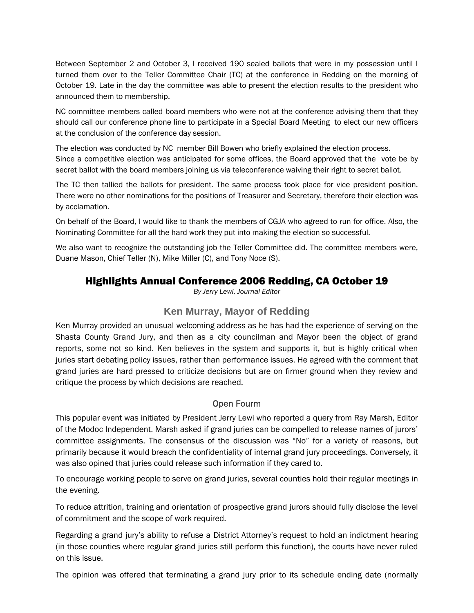<span id="page-3-0"></span>Between September 2 and October 3, I received 190 sealed ballots that were in my possession until I turned them over to the Teller Committee Chair (TC) at the conference in Redding on the morning of October 19. Late in the day the committee was able to present the election results to the president who announced them to membership.

NC committee members called board members who were not at the conference advising them that they should call our conference phone line to participate in a Special Board Meeting to elect our new officers at the conclusion of the conference day session.

The election was conducted by NC member Bill Bowen who briefly explained the election process. Since a competitive election was anticipated for some offices, the Board approved that the vote be by secret ballot with the board members joining us via teleconference waiving their right to secret ballot.

The TC then tallied the ballots for president. The same process took place for vice president position. There were no other nominations for the positions of Treasurer and Secretary, therefore their election was by acclamation.

On behalf of the Board, I would like to thank the members of CGJA who agreed to run for office. Also, the Nominating Committee for all the hard work they put into making the election so successful.

We also want to recognize the outstanding job the Teller Committee did. The committee members were, Duane Mason, Chief Teller (N), Mike Miller (C), and Tony Noce (S).

# Highlights Annual Conference 2006 Redding, CA October 19

*By Jerry Lewi, Journal Editor*

## **Ken Murray, Mayor of Redding**

Ken Murray provided an unusual welcoming address as he has had the experience of serving on the Shasta County Grand Jury, and then as a city councilman and Mayor been the object of grand reports, some not so kind. Ken believes in the system and supports it, but is highly critical when juries start debating policy issues, rather than performance issues. He agreed with the comment that grand juries are hard pressed to criticize decisions but are on firmer ground when they review and critique the process by which decisions are reached.

#### Open Fourm

This popular event was initiated by President Jerry Lewi who reported a query from Ray Marsh, Editor of the Modoc Independent. Marsh asked if grand juries can be compelled to release names of jurors' committee assignments. The consensus of the discussion was "No" for a variety of reasons, but primarily because it would breach the confidentiality of internal grand jury proceedings. Conversely, it was also opined that juries could release such information if they cared to.

To encourage working people to serve on grand juries, several counties hold their regular meetings in the evening.

To reduce attrition, training and orientation of prospective grand jurors should fully disclose the level of commitment and the scope of work required.

Regarding a grand jury's ability to refuse a District Attorney's request to hold an indictment hearing (in those counties where regular grand juries still perform this function), the courts have never ruled on this issue.

The opinion was offered that terminating a grand jury prior to its schedule ending date (normally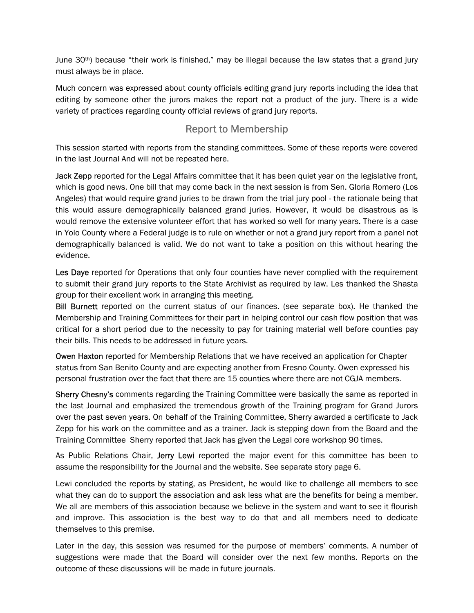June  $30<sup>th</sup>$ ) because "their work is finished," may be illegal because the law states that a grand jury must always be in place.

Much concern was expressed about county officials editing grand jury reports including the idea that editing by someone other the jurors makes the report not a product of the jury. There is a wide variety of practices regarding county official reviews of grand jury reports.

# Report to Membership

This session started with reports from the standing committees. Some of these reports were covered in the last Journal And will not be repeated here.

Jack Zepp reported for the Legal Affairs committee that it has been quiet year on the legislative front, which is good news. One bill that may come back in the next session is from Sen. Gloria Romero (Los Angeles) that would require grand juries to be drawn from the trial jury pool - the rationale being that this would assure demographically balanced grand juries. However, it would be disastrous as is would remove the extensive volunteer effort that has worked so well for many years. There is a case in Yolo County where a Federal judge is to rule on whether or not a grand jury report from a panel not demographically balanced is valid. We do not want to take a position on this without hearing the evidence.

Les Daye reported for Operations that only four counties have never complied with the requirement to submit their grand jury reports to the State Archivist as required by law. Les thanked the Shasta group for their excellent work in arranging this meeting.

**Bill Burnett** reported on the current status of our finances. (see separate box). He thanked the Membership and Training Committees for their part in helping control our cash flow position that was critical for a short period due to the necessity to pay for training material well before counties pay their bills. This needs to be addressed in future years.

Owen Haxton reported for Membership Relations that we have received an application for Chapter status from San Benito County and are expecting another from Fresno County. Owen expressed his personal frustration over the fact that there are 15 counties where there are not CGJA members.

Sherry Chesny's comments regarding the Training Committee were basically the same as reported in the last Journal and emphasized the tremendous growth of the Training program for Grand Jurors over the past seven years. On behalf of the Training Committee, Sherry awarded a certificate to Jack Zepp for his work on the committee and as a trainer. Jack is stepping down from the Board and the Training Committee Sherry reported that Jack has given the Legal core workshop 90 times.

As Public Relations Chair, Jerry Lewi reported the major event for this committee has been to assume the responsibility for the Journal and the website. See separate story page 6.

Lewi concluded the reports by stating, as President, he would like to challenge all members to see what they can do to support the association and ask less what are the benefits for being a member. We all are members of this association because we believe in the system and want to see it flourish and improve. This association is the best way to do that and all members need to dedicate themselves to this premise.

Later in the day, this session was resumed for the purpose of members' comments. A number of suggestions were made that the Board will consider over the next few months. Reports on the outcome of these discussions will be made in future journals.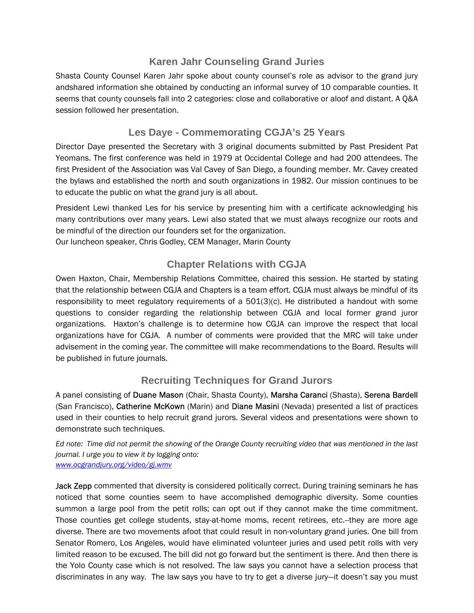## **Karen Jahr Counseling Grand Juries**

<span id="page-5-0"></span>Shasta County Counsel Karen Jahr spoke about county counsel's role as advisor to the grand jury andshared information she obtained by conducting an informal survey of 10 comparable counties. It seems that county counsels fall into 2 categories: close and collaborative or aloof and distant. A Q&A session followed her presentation.

## **Les Daye - Commemorating CGJA's 25 Years**

Director Daye presented the Secretary with 3 original documents submitted by Past President Pat Yeomans. The first conference was held in 1979 at Occidental College and had 200 attendees. The first President of the Association was Val Cavey of San Diego, a founding member. Mr. Cavey created the bylaws and established the north and south organizations in 1982. Our mission continues to be to educate the public on what the grand jury is all about.

President Lewi thanked Les for his service by presenting him with a certificate acknowledging his many contributions over many years. Lewi also stated that we must always recognize our roots and be mindful of the direction our founders set for the organization.

Our luncheon speaker, Chris Godley, CEM Manager, Marin County

# **Chapter Relations with CGJA**

Owen Haxton, Chair, Membership Relations Committee, chaired this session. He started by stating that the relationship between CGJA and Chapters is a team effort. CGJA must always be mindful of its responsibility to meet regulatory requirements of a 501(3)(c). He distributed a handout with some questions to consider regarding the relationship between CGJA and local former grand juror organizations. Haxton's challenge is to determine how CGJA can improve the respect that local organizations have for CGJA. A number of comments were provided that the MRC will take under advisement in the coming year. The committee will make recommendations to the Board. Results will be published in future journals.

# **Recruiting Techniques for Grand Jurors**

A panel consisting of Duane Mason (Chair, Shasta County), Marsha Caranci (Shasta), Serena Bardell (San Francisco), Catherine McKown (Marin) and Diane Masini (Nevada) presented a list of practices used in their counties to help recruit grand jurors. Several videos and presentations were shown to demonstrate such techniques.

*Ed note: Time did not permit the showing of the Orange County recruiting video that was mentioned in the last journal. I urge you to view it by logging onto: [www.ocgrandjury.org/video/gj.wmv](http://www.ocgrandjury.org/video/gj.wmv)*

Jack Zepp commented that diversity is considered politically correct. During training seminars he has noticed that some counties seem to have accomplished demographic diversity. Some counties summon a large pool from the petit rolls; can opt out if they cannot make the time commitment. Those counties get college students, stay-at-home moms, recent retirees, etc.--they are more age diverse. There are two movements afoot that could result in non-voluntary grand juries. One bill from Senator Romero, Los Angeles, would have eliminated volunteer juries and used petit rolls with very limited reason to be excused. The bill did not go forward but the sentiment is there. And then there is the Yolo County case which is not resolved. The law says you cannot have a selection process that discriminates in any way. The law says you have to try to get a diverse jury—it doesn't say you must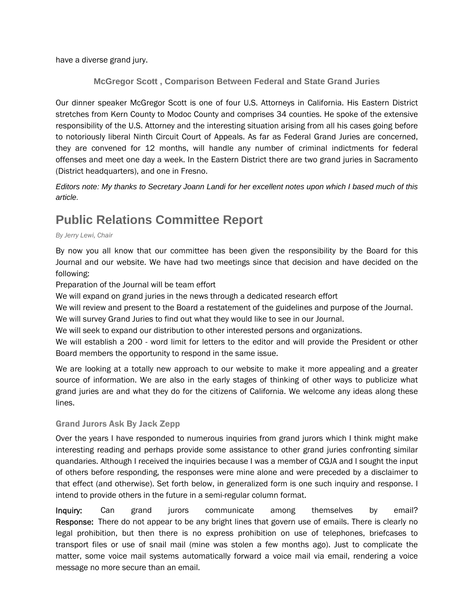<span id="page-6-0"></span>have a diverse grand jury.

**McGregor Scott , Comparison Between Federal and State Grand Juries** 

Our dinner speaker McGregor Scott is one of four U.S. Attorneys in California. His Eastern District stretches from Kern County to Modoc County and comprises 34 counties. He spoke of the extensive responsibility of the U.S. Attorney and the interesting situation arising from all his cases going before to notoriously liberal Ninth Circuit Court of Appeals. As far as Federal Grand Juries are concerned, they are convened for 12 months, will handle any number of criminal indictments for federal offenses and meet one day a week. In the Eastern District there are two grand juries in Sacramento (District headquarters), and one in Fresno.

*Editors note: My thanks to Secretary Joann Landi for her excellent notes upon which I based much of this article.*

# **Public Relations Committee Report**

#### *By Jerry Lewi, Chair*

By now you all know that our committee has been given the responsibility by the Board for this Journal and our website. We have had two meetings since that decision and have decided on the following:

Preparation of the Journal will be team effort

We will expand on grand juries in the news through a dedicated research effort

We will review and present to the Board a restatement of the guidelines and purpose of the Journal.

We will survey Grand Juries to find out what they would like to see in our Journal.

We will seek to expand our distribution to other interested persons and organizations.

We will establish a 200 - word limit for letters to the editor and will provide the President or other Board members the opportunity to respond in the same issue.

We are looking at a totally new approach to our website to make it more appealing and a greater source of information. We are also in the early stages of thinking of other ways to publicize what grand juries are and what they do for the citizens of California. We welcome any ideas along these lines.

#### Grand Jurors Ask By Jack Zepp

Over the years I have responded to numerous inquiries from grand jurors which I think might make interesting reading and perhaps provide some assistance to other grand juries confronting similar quandaries. Although I received the inquiries because I was a member of CGJA and I sought the input of others before responding, the responses were mine alone and were preceded by a disclaimer to that effect (and otherwise). Set forth below, in generalized form is one such inquiry and response. I intend to provide others in the future in a semi-regular column format.

Inquiry: Can grand jurors communicate among themselves by email? Response: There do not appear to be any bright lines that govern use of emails. There is clearly no legal prohibition, but then there is no express prohibition on use of telephones, briefcases to transport files or use of snail mail (mine was stolen a few months ago). Just to complicate the matter, some voice mail systems automatically forward a voice mail via email, rendering a voice message no more secure than an email.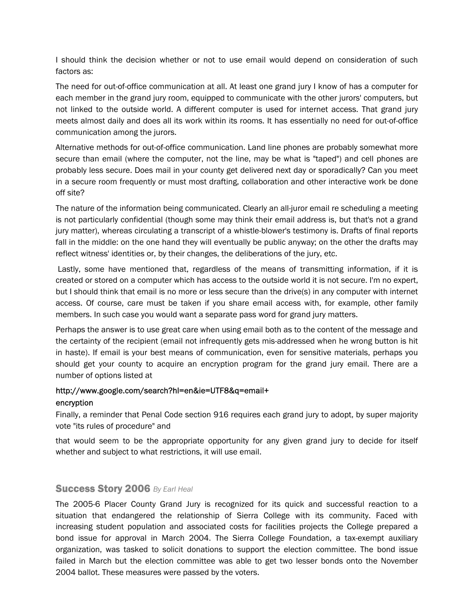<span id="page-7-0"></span>I should think the decision whether or not to use email would depend on consideration of such factors as:

The need for out-of-office communication at all. At least one grand jury I know of has a computer for each member in the grand jury room, equipped to communicate with the other jurors' computers, but not linked to the outside world. A different computer is used for internet access. That grand jury meets almost daily and does all its work within its rooms. It has essentially no need for out-of-office communication among the jurors.

Alternative methods for out-of-office communication. Land line phones are probably somewhat more secure than email (where the computer, not the line, may be what is "taped") and cell phones are probably less secure. Does mail in your county get delivered next day or sporadically? Can you meet in a secure room frequently or must most drafting, collaboration and other interactive work be done off site?

The nature of the information being communicated. Clearly an all-juror email re scheduling a meeting is not particularly confidential (though some may think their email address is, but that's not a grand jury matter), whereas circulating a transcript of a whistle-blower's testimony is. Drafts of final reports fall in the middle: on the one hand they will eventually be public anyway; on the other the drafts may reflect witness' identities or, by their changes, the deliberations of the jury, etc.

 Lastly, some have mentioned that, regardless of the means of transmitting information, if it is created or stored on a computer which has access to the outside world it is not secure. I'm no expert, but I should think that email is no more or less secure than the drive(s) in any computer with internet access. Of course, care must be taken if you share email access with, for example, other family members. In such case you would want a separate pass word for grand jury matters.

Perhaps the answer is to use great care when using email both as to the content of the message and the certainty of the recipient (email not infrequently gets mis-addressed when he wrong button is hit in haste). If email is your best means of communication, even for sensitive materials, perhaps you should get your county to acquire an encryption program for the grand jury email. There are a number of options listed at

# http://www.google.com/search?hl=en&ie=UTF8&q=email+

#### encryption

Finally, a reminder that Penal Code section 916 requires each grand jury to adopt, by super majority vote "its rules of procedure" and

that would seem to be the appropriate opportunity for any given grand jury to decide for itself whether and subject to what restrictions, it will use email.

#### Success Story 2006 *By Earl Heal*

The 2005-6 Placer County Grand Jury is recognized for its quick and successful reaction to a situation that endangered the relationship of Sierra College with its community. Faced with increasing student population and associated costs for facilities projects the College prepared a bond issue for approval in March 2004. The Sierra College Foundation, a tax-exempt auxiliary organization, was tasked to solicit donations to support the election committee. The bond issue failed in March but the election committee was able to get two lesser bonds onto the November 2004 ballot. These measures were passed by the voters.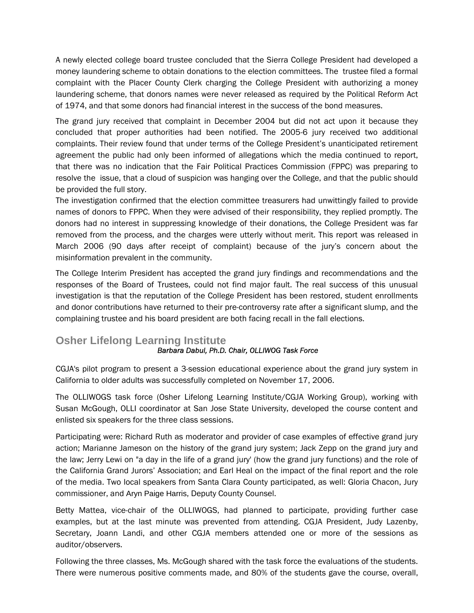<span id="page-8-0"></span>A newly elected college board trustee concluded that the Sierra College President had developed a money laundering scheme to obtain donations to the election committees. The trustee filed a formal complaint with the Placer County Clerk charging the College President with authorizing a money laundering scheme, that donors names were never released as required by the Political Reform Act of 1974, and that some donors had financial interest in the success of the bond measures.

The grand jury received that complaint in December 2004 but did not act upon it because they concluded that proper authorities had been notified. The 2005-6 jury received two additional complaints. Their review found that under terms of the College President's unanticipated retirement agreement the public had only been informed of allegations which the media continued to report, that there was no indication that the Fair Political Practices Commission (FPPC) was preparing to resolve the issue, that a cloud of suspicion was hanging over the College, and that the public should be provided the full story.

The investigation confirmed that the election committee treasurers had unwittingly failed to provide names of donors to FPPC. When they were advised of their responsibility, they replied promptly. The donors had no interest in suppressing knowledge of their donations, the College President was far removed from the process, and the charges were utterly without merit. This report was released in March 2006 (90 days after receipt of complaint) because of the jury's concern about the misinformation prevalent in the community.

The College Interim President has accepted the grand jury findings and recommendations and the responses of the Board of Trustees, could not find major fault. The real success of this unusual investigation is that the reputation of the College President has been restored, student enrollments and donor contributions have returned to their pre-controversy rate after a significant slump, and the complaining trustee and his board president are both facing recall in the fall elections.

# **Osher Lifelong Learning Institute**

#### *Barbara Dabul, Ph.D. Chair, OLLIWOG Task Force*

CGJA's pilot program to present a 3-session educational experience about the grand jury system in California to older adults was successfully completed on November 17, 2006.

The OLLIWOGS task force (Osher Lifelong Learning Institute/CGJA Working Group), working with Susan McGough, OLLI coordinator at San Jose State University, developed the course content and enlisted six speakers for the three class sessions.

Participating were: Richard Ruth as moderator and provider of case examples of effective grand jury action; Marianne Jameson on the history of the grand jury system; Jack Zepp on the grand jury and the law; Jerry Lewi on "a day in the life of a grand jury' (how the grand jury functions) and the role of the California Grand Jurors' Association; and Earl Heal on the impact of the final report and the role of the media. Two local speakers from Santa Clara County participated, as well: Gloria Chacon, Jury commissioner, and Aryn Paige Harris, Deputy County Counsel.

Betty Mattea, vice-chair of the OLLIWOGS, had planned to participate, providing further case examples, but at the last minute was prevented from attending. CGJA President, Judy Lazenby, Secretary, Joann Landi, and other CGJA members attended one or more of the sessions as auditor/observers.

Following the three classes, Ms. McGough shared with the task force the evaluations of the students. There were numerous positive comments made, and 80% of the students gave the course, overall,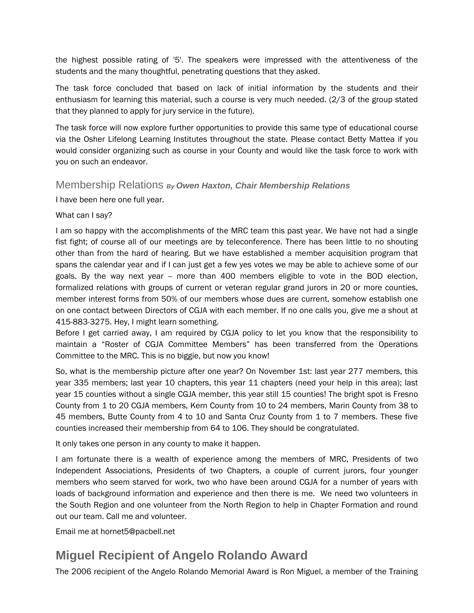<span id="page-9-0"></span>the highest possible rating of '5'. The speakers were impressed with the attentiveness of the students and the many thoughtful, penetrating questions that they asked.

The task force concluded that based on lack of initial information by the students and their enthusiasm for learning this material, such a course is very much needed. (2/3 of the group stated that they planned to apply for jury service in the future).

The task force will now explore further opportunities to provide this same type of educational course via the Osher Lifelong Learning Institutes throughout the state. Please contact Betty Mattea if you would consider organizing such as course in your County and would like the task force to work with you on such an endeavor.

#### Membership Relations *By Owen Haxton, Chair Membership Relations*

I have been here one full year.

#### What can I say?

I am so happy with the accomplishments of the MRC team this past year. We have not had a single fist fight; of course all of our meetings are by teleconference. There has been little to no shouting other than from the hard of hearing. But we have established a member acquisition program that spans the calendar year and if I can just get a few yes votes we may be able to achieve some of our goals. By the way next year -- more than 400 members eligible to vote in the BOD election, formalized relations with groups of current or veteran regular grand jurors in 20 or more counties, member interest forms from 50% of our members whose dues are current, somehow establish one on one contact between Directors of CGJA with each member. If no one calls you, give me a shout at 415-883-3275. Hey, I might learn something.

Before I get carried away, I am required by CGJA policy to let you know that the responsibility to maintain a "Roster of CGJA Committee Members" has been transferred from the Operations Committee to the MRC. This is no biggie, but now you know!

So, what is the membership picture after one year? On November 1st: last year 277 members, this year 335 members; last year 10 chapters, this year 11 chapters (need your help in this area); last year 15 counties without a single CGJA member, this year still 15 counties! The bright spot is Fresno County from 1 to 20 CGJA members, Kern County from 10 to 24 members, Marin County from 38 to 45 members, Butte County from 4 to 10 and Santa Cruz County from 1 to 7 members. These five counties increased their membership from 64 to 106. They should be congratulated.

It only takes one person in any county to make it happen.

I am fortunate there is a wealth of experience among the members of MRC, Presidents of two Independent Associations, Presidents of two Chapters, a couple of current jurors, four younger members who seem starved for work, two who have been around CGJA for a number of years with loads of background information and experience and then there is me. We need two volunteers in the South Region and one volunteer from the North Region to help in Chapter Formation and round out our team. Call me and volunteer.

Email me at hornet5@pacbell.net

# **Miguel Recipient of Angelo Rolando Award**

The 2006 recipient of the Angelo Rolando Memorial Award is Ron Miguel, a member of the Training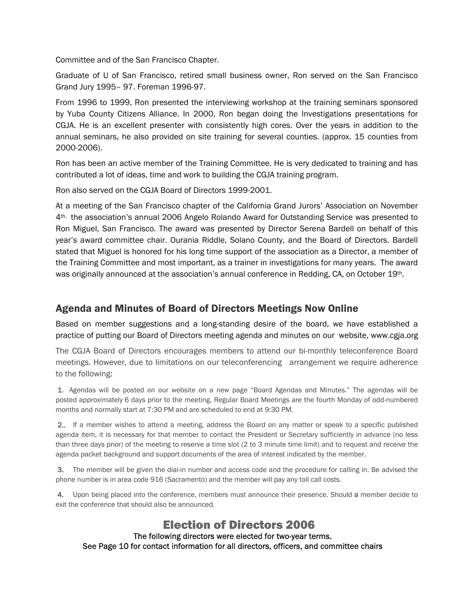<span id="page-10-0"></span>Committee and of the San Francisco Chapter.

Graduate of U of San Francisco, retired small business owner, Ron served on the San Francisco Grand Jury 1995– 97. Foreman 1996-97.

From 1996 to 1999, Ron presented the interviewing workshop at the training seminars sponsored by Yuba County Citizens Alliance. In 2000, Ron began doing the Investigations presentations for CGJA. He is an excellent presenter with consistently high cores. Over the years in addition to the annual seminars, he also provided on site training for several counties. (approx. 15 counties from 2000-2006).

Ron has been an active member of the Training Committee. He is very dedicated to training and has contributed a lot of ideas, time and work to building the CGJA training program.

Ron also served on the CGJA Board of Directors 1999-2001.

At a meeting of the San Francisco chapter of the California Grand Jurors' Association on November 4th, the association's annual 2006 Angelo Rolando Award for Outstanding Service was presented to Ron Miguel, San Francisco. The award was presented by Director Serena Bardell on behalf of this year's award committee chair. Ourania Riddle, Solano County, and the Board of Directors. Bardell stated that Miguel is honored for his long time support of the association as a Director, a member of the Training Committee and most important, as a trainer in investigations for many years. The award was originally announced at the association's annual conference in Redding, CA, on October 19th.

## Agenda and Minutes of Board of Directors Meetings Now Online

Based on member suggestions and a long-standing desire of the board, we have established a practice of putting our Board of Directors meeting agenda and minutes on our website, www.cgja.org

The CGJA Board of Directors encourages members to attend our bi-monthly teleconference Board meetings. However, due to limitations on our teleconferencing arrangement we require adherence to the following:

 1. Agendas will be posted on our website on a new page "Board Agendas and Minutes." The agendas will be posted approximately 6 days prior to the meeting. Regular Board Meetings are the fourth Monday of odd-numbered months and normally start at 7:30 PM and are scheduled to end at 9:30 PM.

 2.. If a member wishes to attend a meeting, address the Board on any matter or speak to a specific published agenda item, it is necessary for that member to contact the President or Secretary sufficiently in advance (no less than three days prior) of the meeting to reserve a time slot (2 to 3 minute time limit) and to request and receive the agenda packet background and support documents of the area of interest indicated by the member.

 3. The member will be given the dial-in number and access code and the procedure for calling in. Be advised the phone number is in area code 916 (Sacramento) and the member will pay any toll call costs.

 4. Upon being placed into the conference, members must announce their presence. Should a member decide to exit the conference that should also be announced.

#### Election of Directors 2006 The following directors were elected for two-year terms. See Page 10 for contact information for all directors, officers, and committee chairs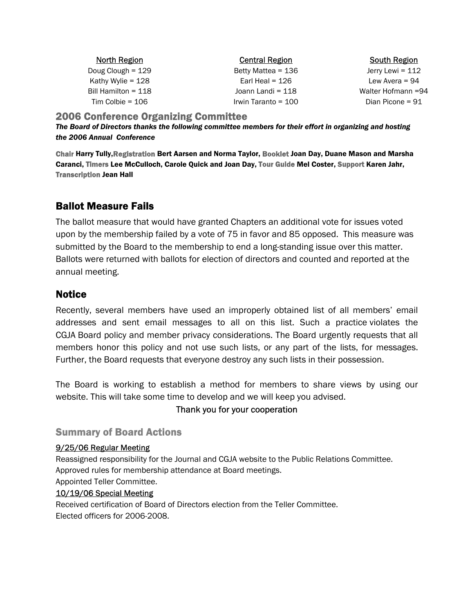<span id="page-11-0"></span>

| <b>North Region</b><br><b>Central Region</b> |                     | <b>South Region</b> |  |
|----------------------------------------------|---------------------|---------------------|--|
| Doug Clough = $129$                          | Betty Mattea = 136  | Jerry Lewi = $112$  |  |
| Kathy Wylie = $128$                          | Earl Heal = $126$   | Lew Avera = $94$    |  |
| Bill Hamilton = $118$                        | Joann Landi = 118   | Walter Hofmann =94  |  |
| Tim Colbie = $106$                           | Irwin Taranto = 100 | Dian Picone = 91    |  |

#### 2006 Conference Organizing Committee

*The Board of Directors thanks the following committee members for their effort in organizing and hosting the 2006 Annual Conference* 

Chair Harry Tully,Registration Bert Aarsen and Norma Taylor, Booklet Joan Day, Duane Mason and Marsha Caranci, Timers Lee McCulloch, Carole Quick and Joan Day, Tour Guide Mel Coster, Support Karen Jahr, Transcription Jean Hall

# Ballot Measure Fails

The ballot measure that would have granted Chapters an additional vote for issues voted upon by the membership failed by a vote of 75 in favor and 85 opposed. This measure was submitted by the Board to the membership to end a long-standing issue over this matter. Ballots were returned with ballots for election of directors and counted and reported at the annual meeting.

## **Notice**

Recently, several members have used an improperly obtained list of all members' email addresses and sent email messages to all on this list. Such a practice violates the CGJA Board policy and member privacy considerations. The Board urgently requests that all members honor this policy and not use such lists, or any part of the lists, for messages. Further, the Board requests that everyone destroy any such lists in their possession.

The Board is working to establish a method for members to share views by using our website. This will take some time to develop and we will keep you advised.

#### Thank you for your cooperation

#### Summary of Board Actions

#### 9/25/06 Regular Meeting

Reassigned responsibility for the Journal and CGJA website to the Public Relations Committee. Approved rules for membership attendance at Board meetings.

Appointed Teller Committee.

#### 10/19/06 Special Meeting

Received certification of Board of Directors election from the Teller Committee. Elected officers for 2006-2008.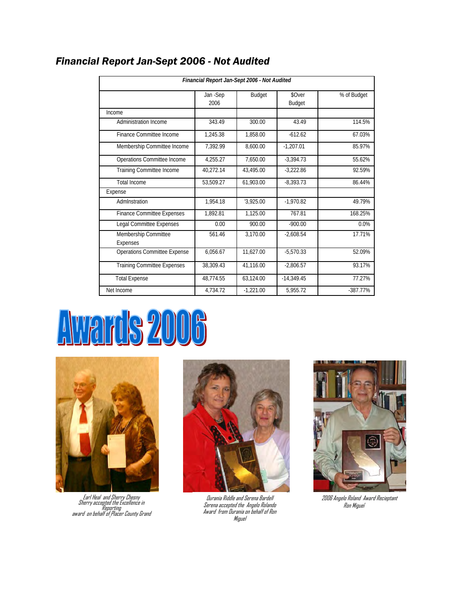| Financial Report Jan-Sept 2006 - Not Audited |                 |               |                         |             |  |  |
|----------------------------------------------|-----------------|---------------|-------------------------|-------------|--|--|
|                                              | Jan-Sep<br>2006 | <b>Budget</b> | \$Over<br><b>Budget</b> | % of Budget |  |  |
| Income                                       |                 |               |                         |             |  |  |
| Administration Income                        | 343.49          | 300.00        | 43.49                   | 114.5%      |  |  |
| Finance Committee Income                     | 1.245.38        | 1.858.00      | $-612.62$               | 67.03%      |  |  |
| Membership Committee Income                  | 7,392.99        | 8,600.00      | $-1,207.01$             | 85.97%      |  |  |
| Operations Committee Income                  | 4.255.27        | 7.650.00      | $-3,394.73$             | 55.62%      |  |  |
| Training Committee Income                    | 40.272.14       | 43.495.00     | $-3.222.86$             | 92.59%      |  |  |
| <b>Total Income</b>                          | 53,509.27       | 61,903.00     | $-8,393.73$             | 86.44%      |  |  |
| Expense                                      |                 |               |                         |             |  |  |
| Admlnstration                                | 1.954.18        | '3.925.00     | $-1.970.82$             | 49.79%      |  |  |
| <b>Finance Committee Expenses</b>            | 1.892.81        | 1.125.00      | 767.81                  | 168.25%     |  |  |
| <b>Legal Committee Expenses</b>              | 0.00            | 900.00        | $-900.00$               | 0.0%        |  |  |
| Membership Committee<br>Expenses             | 561.46          | 3.170.00      | $-2.608.54$             | 17.71%      |  |  |
| <b>Operations Committee Expense</b>          | 6.056.67        | 11,627.00     | $-5.570.33$             | 52.09%      |  |  |
| <b>Training Committee Expenses</b>           | 38.309.43       | 41.116.00     | $-2.806.57$             | 93.17%      |  |  |
| <b>Total Expense</b>                         | 48.774.55       | 63.124.00     | $-14.349.45$            | 77.27%      |  |  |
| Net Income                                   | 4.734.72        | $-1.221.00$   | 5.955.72                | $-387.77%$  |  |  |

# <span id="page-12-0"></span>*Financial Report Jan-Sept 2006 - Not Audited*

# Awards 2006



Earl Heal and Sherry Chesny<br>Sherry accepted the Excellence in<br>Reporting<br>And on behalf of Placer County Grand



Serena accepted the Angelo Rolando Award from Ourania on behalf of Ron **Miguel** 



2006 Angelo Roland Awa R ieptan Ourania Riddle and Serena Bardell rd ec t Ron Miguel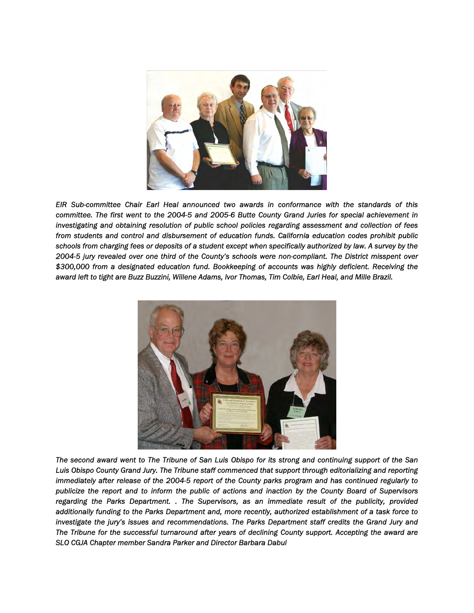

*EIR Sub-committee Chair Earl Heal announced two awards in conformance with the standards of this committee. The first went to the 2004-5 and 2005-6 Butte County Grand Juries for special achievement in investigating and obtaining resolution of public school policies regarding assessment and collection of fees from students and control and disbursement of education funds. California education codes prohibit public schools from charging fees or deposits of a student except when specifically authorized by law. A survey by the 2004-5 jury revealed over one third of the County's schools were non-compliant. The District misspent over \$300,000 from a designated education fund. Bookkeeping of accounts was highly deficient. Receiving the award left to tight are Buzz Buzzini, Willene Adams, Ivor Thomas, Tim Colbie, Earl Heal, and Mille Brazil.* 



*The second award went to The Tribune of San Luis Obispo for its strong and continuing support of the San Luis Obispo County Grand Jury. The Tribune staff commenced that support through editorializing and reporting immediately after release of the 2004-5 report of the County parks program and has continued regularly to publicize the report and to inform the public of actions and inaction by the County Board of Supervisors regarding the Parks Department. . The Supervisors, as an immediate result of the publicity, provided additionally funding to the Parks Department and, more recently, authorized establishment of a task force to*  investigate the jury's issues and recommendations. The Parks Department staff credits the Grand Jury and *The Tribune for the successful turnaround after years of declining County support. Accepting the award are SLO CGJA Chapter member Sandra Parker and Director Barbara Dabul*